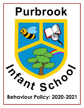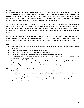## **Rationale**

At Purbrook Infant School, we want the behaviour policy to support the core aims, objectives and ethos of the school. At the heart of our policy are the school values of resilience, independence and respect. We have very high standards of behaviour and believe that catching children being good and rewarding good behaviour is a positive and successful way of promoting expectations for behaviour. Our Values programme supports this and is intrinsic to developing the child's ability to manage their own behaviour.

Positive behaviour management is the responsibility of all staff. Consistency and communication are vital in achieving and maintaining good behaviour in the classroom and around the school, both inside and outside. All members of staff are expected to help in achieving an atmosphere that is conducive to learning. Respect and consideration for others are considered to be basic requirements allowing teachers to teach and all pupils to learn.

'We consider the best way to encourage good standards of behaviour in schools is a clear code of conduct backed by a balanced combination of rewards and sanctions within a community atmosphere. Establishing a whole school behaviour policy is an important step in that direction'. (Elton Report, Chapter 4, Para 50)

# **AIMS**

- *We aim to create a community where everyone feels valued and where all feel they can make a positive contribution.*
- *To allow all members of the school to enjoy being here.*
- *To encourage everyone to thrive within the school community*
- *To have high expectations of behaviour from all within the school community*
- *For children to have an awareness of their own needs, views and feelings, and show sensitivity to the needs, views and feelings of others.*
- *We encourage children to be aware of the world in which they live and the diversity of different cultures; to show respect and tolerance for the beliefs of others.*
- *The partnership between parents, carers and staff is key to maintaining high standards of behaviour*

# **When managing behaviour related situations we will:**

- $\triangleright$  deal with issues reasonably and calmly as it shows respect for others.
- $\triangleright$  criticise the behaviour- not the person. It is possible to change our behaviour, but we cannot change our innate personalities.
- $\triangleright$  be fair in our dealings with one another, so that we do not give people reason to be resentful.
- $\triangleright$  look for the best in others; praise and encouragement raises self-esteem and builds relationships.
- $\triangleright$  celebrate good behaviour frequently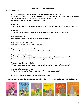### **PURBROOK CODE OF BEHAVIOUR**

At Purbrook we will:

♦ **Be kind and thoughtful. Bullying and racism are not tolerated in any form.**

*Incidents of this nature will be dealt with swiftly by the head teacher who will inform the parents of children involved and gain their support in preventing further incidents. (Refer to Anti- Bullying policy for more information)*

## ♦ **Be helpful.**

*To our friends, classmates and especially to new pupils. To all adults in school and especially visitors.*

- ♦ **Be honest.** *This means always telling the truth and showing respect for other people's belongings.*
- ♦ **Be polite and friendly.** *It's nice to have friends and others will appreciate you for it*
- Be generous and let others share. *In the classroom, in school and in the playground.*
- ♦ **Keep ourselves safe and play sensibly.** *Choose sensible games, remember our rules and have fun!*
- ♦ **Keep ourselves and others safe.** *Always tell an adult immediately if you see someone doing something dangerous or unkind. If you see broken equipment or a dangerous area, let an adult know.*
- ♦ **Think about making a good choice** *Will what you want to do make others happy or is it something that could hurt or upset?*
- ♦ **Be proud to belong to our school** *By dressing smartly and in the correct school uniform. Wear it with pride!*
- ♦ **Remember – Use Kind Words and Kind Hands at all times**

**This is tied together using the Purbrook Golden Rules – shared and understood by child friendly books and stories:**

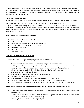Children will all be involved in deciding their own classroom rules at the beginning of the year as part of PSHCE, but the main school rules will be adhered to by all. In this way children will have ownership of the rules and be more likely to follow them. They will be displayed prominently in the classroom and children will be reminded of the rules frequently.

# **ENFORCING THE BEHAVIOUR CODE**

All members of staff share a responsibility for ensuring the Behaviour code and Golden Rules are followed.

Adults also have a duty to follow the code and to be good role models for the children.

Therefore, if an adult is aware of an issue or incident, they must deal with it immediately following the guidelines. No member of staff should let any incident of poor behaviour pass unchallenged. We believe that prevention is better than cure so we will be vigilant and intervene whenever possible to prevent situations from occurring or escalating.

# **REWARDS FOR GOOD BEHAVIOUR INCLUDE:**

- Stickers, Certificates, Postcards Home
- Private / Public Praise
- Special rewards time in another class / job/prefect
- Marbles in the jar or similar chosen as a class
- Lunch Time silver table
- Class cup
- Fantastic tea party

### **MANAGING INAPPROPRIATE BEHAVIOUR**

Everyone at Purbrook has agreed to try to prevent this from happening by:

- Being consistent, fair, and adhering to the policy and procedures at all times.
- Avoiding confrontation wherever possible. Being vigilant and intervening before a situation arises.
- Always giving the children the opportunity to do the right thing and make a good choice
- Addressing issues collectively through Circle Times and the Values Programme
- Being a positive role model for children
- Using the Prefects to support children experiencing difficulties
- Praising good behaviour when it occurs
- Using assertive discipline and positive statements such as 'I know you can…'
- Speaking informally to parents, recognising the good as well as the poor behaviour
- Encouraging children to apologise meaningfully and ensuring they are aware of the 'right choice'

### **Where a child is persistently not conforming to the Code of Behaviour or Golden Rules we will**

- Give a quiet reminder by referring to the above (e.g. Are you sure that game is appropriate for the playground?)
- Another reminder including an explanation of what will happen if the child continues to make a bad choice (I'll have to ask you to move away from …)
- Time away from the activity and loss of privileges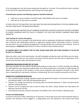(If on the playground, this will involve staying with the adult for 2 minutes. This should finish with a reminder to the child of the expected behaviour when they go off to play again.)

# **If the behaviour persists, the following sequence should be followed:**

- Child sent to senior member of staff (KS leader /AHT/SENDco) with work to complete
- Child sent to HT with work to complete

AT EACH LEVEL OF THE SANCTION, THE CHILD MUST BE GIVEN AN EXPLANATION OF THE RULE BROKEN AND THE NEXT SANCTION IF THE BEHAVIOUR PERSISTS.

IF THE BEHAVIOURS CONTINUE WHILST WORKING IN ANOTHER CLASS/WITH ANOTHER TEACHER/ A MEMBER OF SENIOR LEADERSHIP MUST BE CALLED TO REMOVE THE CHILD AND PREVENT LEARNING FROM BEING DISRUPTED

### **'Fast Tracking' for serious misconduct.**

*The child must be sent or brought to the Head teacher with an explanation of behaviours exhibited. If you feel that a child has been deliberately vindictive or aggressive towards another child (either overtly or covertly), you will need to use your professional judgement to decide whether this constitutes 'fast tracking'- issues of bad language or deliberate physical harm to others constitutes a fast tracking incident.*

# **(IF UNSURE ABOUT THE CORRECT STEP TO TAKE, PLEASE LIAISE WITH THE CLASS TEACHER IF A TA OR THE HT/AHT IF A TEACHER)**

When the child is sent to the Head teacher, she will investigate and log the event and follow up to be taken. This will be shared with the class teacher and shared with the parent and child and an explanation of the actions that have been taken and why given to them.

### **MANAGING BEHAVIOUR IN AND OUT OF CLASS**

Whenever possible, the class teacher will deal with problems as they arise. If a child is proving to be difficult, ALL staff within the team should be notified either at an informal discussion or formally at a staff meeting. All adults need to be aware of the situation, so they can be supportive and consistent. All adults in the school have a responsibility to reprimand a child who is misbehaving. We must be polite and positive at all times.

### **DISRUPTIVE CLASSROOM BEHAVIOUR**

- This is usually attention seeking. Questions need to be asked by the teacher. Is the work too hard/easy/not stimulating enough? Is the child with appropriate peers?
- Teachers can change the behaviour by praising when the desired behaviour is shown and ignoring the attention seeking behaviour
- Teachers will try changing the level of work or where the child is sitting. Redirect the child before the behaviour becomes too bad
- If the behaviour persists, teachers will speak to the SENDCo AHT or the HT about a behaviour plan.

### **Prevent and Radicalisation**

If concerns arise that a child is behaving out of character or discussing issues that may be deemed radical or extreme, this behaviour will be logged as a safeguarding issue and reported to the Prevent lead (Head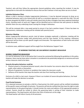Teacher), who will then follow the appropriate channel guidelines when reporting the incident. It may be appropriate to chat with the individual to discuss that we don't behave in that way when we are at school.

#### **Individual Behaviour Plans**

Where a child is starting to display inappropriate behaviours, it may be deemed necessary to draw up an individual behaviour plan to be shared with all staff so a consistent approach is used with the child. This will be done alongside the SEND Co who will initially check that all other strategies have been explored (individual charts, checking match of work etc) Triggers will be identified and an informal chat with parents to identify whether there are any underlying issues causing the change in behaviour.

This will be reviewed after a two-week period to ensure it has had a positive impact. If there has been no improvement, a behaviour meeting will be initiated with parents/carers.

#### **Behaviour Meeting**

Where inappropriate behaviours persist, (and all above strategies explored), a behaviour meeting will be initiated by the Inclusion Leader with parents/carers and the class teacher. At this meeting a behaviour agreement will be drawn up with specific targets and timescales. The expectations of both home and school will be discussed.

In extreme cases, additional support will be sought from the Behaviour Support Team

#### *BY WORKING TOGETHER, WE CAN IMPROVE CHILDREN'S BEHAVIOUR*

#### **SEVERELY DISRUPTIVE BEHAVIOUR**

It is rare for behaviour to be so disruptive that it cannot be contained by following the guidelines in this policy. However, there may be times when a situation is considered to be potentially dangerous or extreme and more serious measures need to be taken.

#### **Severely disruptive behaviour could be:**

- Physical assault or threatened physical assault, when the teacher has concerns about the safety of other pupils, other adults or themselves.
- Misuse of equipment, furniture or vandalism that makes the classroom unsafe.
- **Defiance of the teacher that stops the teacher and class from teaching and learning.**

Exclusion of a child is a last resort. However if there is an incident of severe disruptive behaviour, the head teacher will make the decision to exclude.

#### **Fixed Period Exclusion**

If it is deemed necessary to exclude a child for a fixed period, the child's parents will be notified immediately of the specific reason and length of exclusion. The parents will also be notified that they have the right to make representations to the governing body. It should contain the name and address of the appropriate people to contact. Parents should be invited to inform the governing body in writing of their intention to make representations. The Head teacher will inform the Chair of Governors at this stage The Head teacher will inform County of all exclusions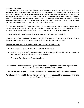#### **Permanent Exclusions**

The Head teacher must inform the child's parents of the exclusion and the specific reason for it. The notification should provide sufficient particulars to ensure that the reason for the exclusion is fully understood and that all relevant circumstances are made known. Notification will be immediate and in writing. The notification should also document for reference any relevant previous warnings, fixed period exclusions or other disciplinary reference any relevant previous warnings, fixed period exclusions or other disciplinary measures taken prior to the excluded behaviour being committed. Rather than delaying notification of exclusion, this information will be contained in a prompt follow up letter.

The Head teacher must notify the parents of their right to make representation to the governing body and County. This must be done within 7 days of notification. The parents have right of access to all curricular records of the child and to other educational records through a request to the governing body.

The Head teacher will log all these events in accordance with the Hampshire County Policy.

(The above procedures have been taken from DCSF 2007 Guidance – Exclusions and Alternative Provision. In the event of exclusion reference should be made to this circular for more in-depth detail)

# **Agreed Procedure for Dealing with Inappropriate Behaviour**

- Give a quiet reminder by referring to the Code of Behaviour
- Another reminder including an explanation of what will happen if the child continues to make a bad choice (I'll have to ask you to move away from …)
- Time away from the activity / loss of privileges

# **Remember – Be Proactive and Vigilant. Intervene with a positive alternative if games look like they will escalate into a more serious incident**

**Praise the positive play and interactions you see. This will rub off on the other children** 

**Remain calm but firm with the children, always wait until they are able to speak calmly before discussing a situation with you**